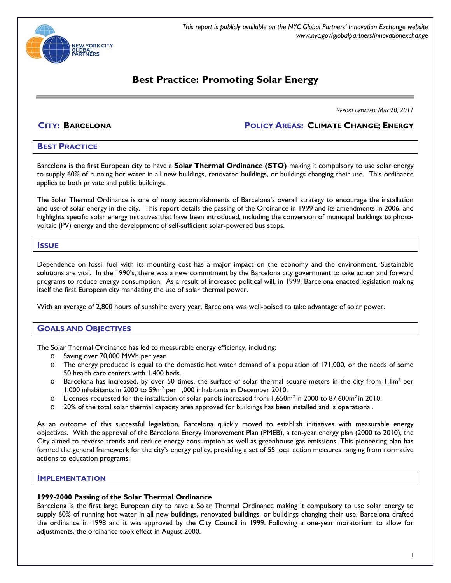

*This report is publicly available on the NYC Global Partners' Innovation Exchange website www.nyc.gov/globalpartners/innovationexchange*

# **Best Practice: Promoting Solar Energy**

*REPORT UPDATED: MAY 20, 2011* 

**CITY: BARCELONA POLICY AREAS: CLIMATE CHANGE; ENERGY**

### **BEST PRACTICE**

Barcelona is the first European city to have a **Solar Thermal Ordinance (STO)** making it compulsory to use solar energy to supply 60% of running hot water in all new buildings, renovated buildings, or buildings changing their use. This ordinance applies to both private and public buildings.

The Solar Thermal Ordinance is one of many accomplishments of Barcelona's overall strategy to encourage the installation and use of solar energy in the city. This report details the passing of the Ordinance in 1999 and its amendments in 2006, and highlights specific solar energy initiatives that have been introduced, including the conversion of municipal buildings to photovoltaic (PV) energy and the development of self-sufficient solar-powered bus stops.

#### **ISSUE**

Dependence on fossil fuel with its mounting cost has a major impact on the economy and the environment. Sustainable solutions are vital. In the 1990's, there was a new commitment by the Barcelona city government to take action and forward programs to reduce energy consumption. As a result of increased political will, in 1999, Barcelona enacted legislation making itself the first European city mandating the use of solar thermal power.

With an average of 2,800 hours of sunshine every year, Barcelona was well-poised to take advantage of solar power.

### **GOALS AND OBJECTIVES**

The Solar Thermal Ordinance has led to measurable energy efficiency, including:

- o Saving over 70,000 MWh per year
- o The energy produced is equal to the domestic hot water demand of a population of 171,000, or the needs of some 50 health care centers with 1,400 beds.
- $\circ$  Barcelona has increased, by over 50 times, the surface of solar thermal square meters in the city from 1.1m<sup>2</sup> per 1,000 inhabitants in 2000 to 59m<sup>2</sup> per 1,000 inhabitants in December 2010.
- $\circ$  Licenses requested for the installation of solar panels increased from 1,650m<sup>2</sup> in 2000 to 87,600m<sup>2</sup> in 2010.
- o 20% of the total solar thermal capacity area approved for buildings has been installed and is operational.

As an outcome of this successful legislation, Barcelona quickly moved to establish initiatives with measurable energy objectives. With the approval of the Barcelona Energy Improvement Plan (PMEB), a ten-year energy plan (2000 to 2010), the City aimed to reverse trends and reduce energy consumption as well as greenhouse gas emissions. This pioneering plan has formed the general framework for the city's energy policy, providing a set of 55 local action measures ranging from normative actions to education programs.

#### **IMPLEMENTATION**

#### **1999-2000 Passing of the Solar Thermal Ordinance**

Barcelona is the first large European city to have a Solar Thermal Ordinance making it compulsory to use solar energy to supply 60% of running hot water in all new buildings, renovated buildings, or buildings changing their use. Barcelona drafted the ordinance in 1998 and it was approved by the City Council in 1999. Following a one-year moratorium to allow for adjustments, the ordinance took effect in August 2000.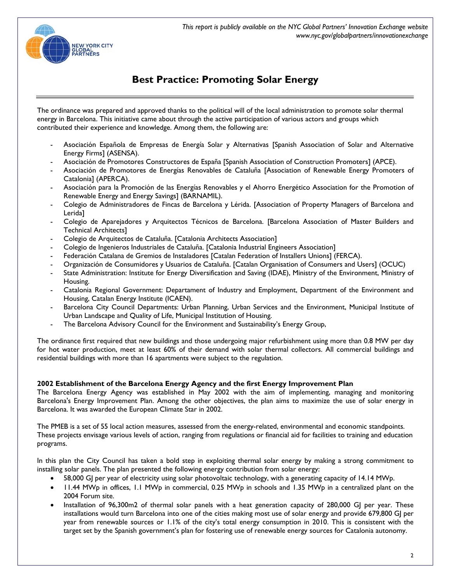

The ordinance was prepared and approved thanks to the political will of the local administration to promote solar thermal energy in Barcelona. This initiative came about through the active participation of various actors and groups which contributed their experience and knowledge. Among them, the following are:

- Asociación Española de Empresas de Energía Solar y Alternativas [Spanish Association of Solar and Alternative Energy Firms] (ASENSA).
- Asociación de Promotores Constructores de España [Spanish Association of Construction Promoters] (APCE).
- Asociación de Promotores de Energías Renovables de Cataluña [Association of Renewable Energy Promoters of Catalonia] (APERCA).
- Asociación para la Promoción de las Energías Renovables y el Ahorro Energético Association for the Promotion of Renewable Energy and Energy Savings] (BARNAMIL).
- Colegio de Administradores de Fincas de Barcelona y Lérida. [Association of Property Managers of Barcelona and Lerida]
- Colegio de Aparejadores y Arquitectos Técnicos de Barcelona. [Barcelona Association of Master Builders and Technical Architects]
- Colegio de Arquitectos de Cataluña. [Catalonia Architects Association]
- Colegio de Ingenieros Industriales de Cataluña. [Catalonia Industrial Engineers Association]
- Federación Catalana de Gremios de Instaladores [Catalan Federation of Installers Unions] (FERCA).
- Organización de Consumidores y Usuarios de Cataluña. [Catalan Organisation of Consumers and Users] (OCUC)
- State Administration: Institute for Energy Diversification and Saving (IDAE), Ministry of the Environment, Ministry of Housing.
- Catalonia Regional Government: Departament of Industry and Employment, Department of the Environment and Housing, Catalan Energy Institute (ICAEN).
- Barcelona City Council Departments: Urban Planning, Urban Services and the Environment, Municipal Institute of Urban Landscape and Quality of Life, Municipal Institution of Housing.
- The Barcelona Advisory Council for the Environment and Sustainability's Energy Group,

The ordinance first required that new buildings and those undergoing major refurbishment using more than 0.8 MW per day for hot water production, meet at least 60% of their demand with solar thermal collectors. All commercial buildings and residential buildings with more than 16 apartments were subject to the regulation.

#### **2002 Establishment of the Barcelona Energy Agency and the first Energy Improvement Plan**

The Barcelona Energy Agency was established in May 2002 with the aim of implementing, managing and monitoring Barcelona's Energy Improvement Plan. Among the other objectives, the plan aims to maximize the use of solar energy in Barcelona. It was awarded the European Climate Star in 2002.

The PMEB is a set of 55 local action measures, assessed from the energy-related, environmental and economic standpoints. These projects envisage various levels of action, ranging from regulations or financial aid for facilities to training and education programs.

In this plan the City Council has taken a bold step in exploiting thermal solar energy by making a strong commitment to installing solar panels. The plan presented the following energy contribution from solar energy:

- 58,000 GJ per year of electricity using solar photovoltaic technology, with a generating capacity of 14.14 MWp.
- 11.44 MWp in offices, 1.1 MWp in commercial, 0.25 MWp in schools and 1.35 MWp in a centralized plant on the 2004 Forum site.
- Installation of 96,300m2 of thermal solar panels with a heat generation capacity of 280,000 GJ per year. These installations would turn Barcelona into one of the cities making most use of solar energy and provide 679,800 GJ per year from renewable sources or 1.1% of the city's total energy consumption in 2010. This is consistent with the target set by the Spanish government's plan for fostering use of renewable energy sources for Catalonia autonomy.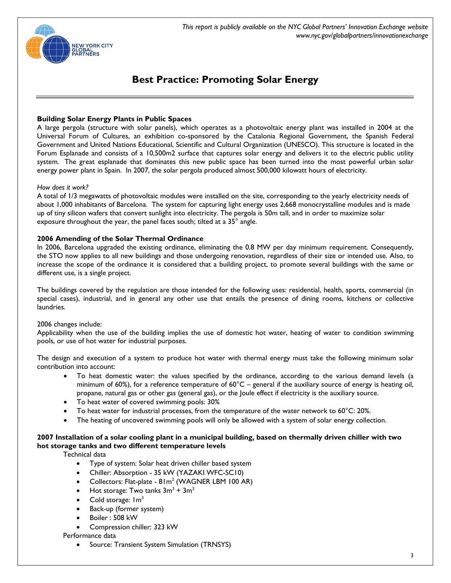

#### **Building Solar Energy Plants in Public Spaces**

A large pergola (structure with solar panels), which operates as a photovoltaic energy plant was installed in 2004 at the Universal Forum of Cultures, an exhibition co-sponsored by the Catalonia Regional Government, the Spanish Federal Government and United Nations Educational, Scientific and Cultural Organization (UNESCO). This structure is located in the Forum Esplanade and consists of a 10,500m2 surface that captures solar energy and delivers it to the electric public utility system. The great esplanade that dominates this new public space has been turned into the most powerful urban solar energy power plant in Spain. In 2007, the solar pergola produced almost 500,000 kilowatt hours of electricity.

#### *How does it work?*

A total of 1/3 megawatts of photovoltaic modules were installed on the site, corresponding to the yearly electricity needs of about 1,000 inhabitants of Barcelona. The system for capturing light energy uses 2,668 monocrystalline modules and is made up of tiny silicon wafers that convert sunlight into electricity. The pergola is 50m tall, and in order to maximize solar exposure throughout the year, the panel faces south; tilted at a 35° angle.

#### **2006 Amending of the Solar Thermal Ordinance**

In 2006, Barcelona upgraded the existing ordinance, eliminating the 0.8 MW per day minimum requirement. Consequently, the STO now applies to all new buildings and those undergoing renovation, regardless of their size or intended use. Also, to increase the scope of the ordinance it is considered that a building project, to promote several buildings with the same or different use, is a single project.

The buildings covered by the regulation are those intended for the following uses: residential, health, sports, commercial (in special cases), industrial, and in general any other use that entails the presence of dining rooms, kitchens or collective laundries.

#### 2006 changes include:

Applicability when the use of the building implies the use of domestic hot water, heating of water to condition swimming pools, or use of hot water for industrial purposes.

The design and execution of a system to produce hot water with thermal energy must take the following minimum solar contribution into account:

- To heat domestic water: the values specified by the ordinance, according to the various demand levels (a minimum of 60%), for a reference temperature of  $60^{\circ}$ C – general if the auxiliary source of energy is heating oil, propane, natural gas or other gas (general gas), or the Joule effect if electricity is the auxiliary source.
- To heat water of covered swimming pools: 30%
- To heat water for industrial processes, from the temperature of the water network to 60°C: 20%.
- The heating of uncovered swimming pools will only be allowed with a system of solar energy collection.

### **2007 Installation of a solar cooling plant in a municipal building, based on thermally driven chiller with two hot storage tanks and two different temperature levels**

Technical data

- Type of system: Solar heat driven chiller based system
- Chiller: Absorption 35 kW (YAZAKI WFC-SC10)
- Collectors: Flat-plate  $81m^2$  (WAGNER LBM 100 AR)
- Hot storage: Two tanks  $3m^3 + 3m^3$
- Cold storage:  $Im<sup>3</sup>$
- Back-up (former system)
- Boiler: 508 kW
- Compression chiller: 323 kW

#### Performance data

• Source: Transient System Simulation (TRNSYS)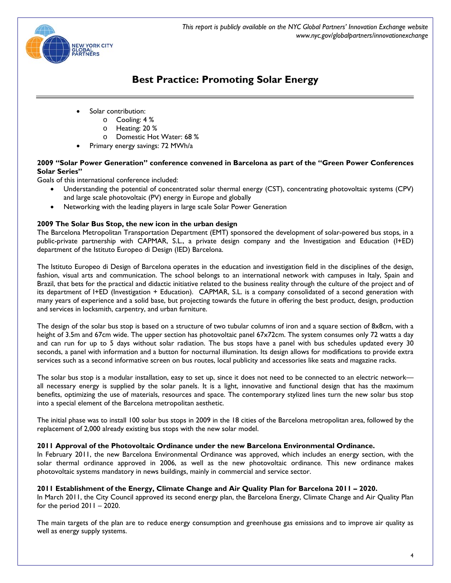

- Solar contribution:
	- o Cooling: 4 %
	- o Heating: 20 %
	- o Domestic Hot Water: 68 %
- Primary energy savings: 72 MWh/a

### **2009 "Solar Power Generation" conference convened in Barcelona as part of the "Green Power Conferences Solar Series"**

Goals of this international conference included:

- Understanding the potential of concentrated solar thermal energy (CST), concentrating photovoltaic systems (CPV) and large scale photovoltaic (PV) energy in Europe and globally
- Networking with the leading players in large scale Solar Power Generation

# **2009 The Solar Bus Stop, the new icon in the urban design**

The Barcelona Metropolitan Transportation Department (EMT) sponsored the development of solar-powered bus stops, in a public-private partnership with CAPMAR, S.L., a private design company and the Investigation and Education (I+ED) department of the Istituto Europeo di Design (IED) Barcelona.

The Istituto Europeo di Design of Barcelona operates in the education and investigation field in the disciplines of the design, fashion, visual arts and communication. The school belongs to an international network with campuses in Italy, Spain and Brazil, that bets for the practical and didactic initiative related to the business reality through the culture of the project and of its department of I+ED (Investigation + Education). CAPMAR, S.L. is a company consolidated of a second generation with many years of experience and a solid base, but projecting towards the future in offering the best product, design, production and services in locksmith, carpentry, and urban furniture.

The design of the solar bus stop is based on a structure of two tubular columns of iron and a square section of 8x8cm, with a height of 3.5m and 67cm wide. The upper section has photovoltaic panel 67x72cm. The system consumes only 72 watts a day and can run for up to 5 days without solar radiation. The bus stops have a panel with bus schedules updated every 30 seconds, a panel with information and a button for nocturnal illumination. Its design allows for modifications to provide extra services such as a second informative screen on bus routes, local publicity and accessories like seats and magazine racks.

The solar bus stop is a modular installation, easy to set up, since it does not need to be connected to an electric network all necessary energy is supplied by the solar panels. It is a light, innovative and functional design that has the maximum benefits, optimizing the use of materials, resources and space. The contemporary stylized lines turn the new solar bus stop into a special element of the Barcelona metropolitan aesthetic.

The initial phase was to install 100 solar bus stops in 2009 in the 18 cities of the Barcelona metropolitan area, followed by the replacement of 2,000 already existing bus stops with the new solar model.

### **2011 Approval of the Photovoltaic Ordinance under the new Barcelona Environmental Ordinance.**

In February 2011, the new Barcelona Environmental Ordinance was approved, which includes an energy section, with the solar thermal ordinance approved in 2006, as well as the new photovoltaic ordinance. This new ordinance makes photovoltaic systems mandatory in news buildings, mainly in commercial and service sector.

### **2011 Establishment of the Energy, Climate Change and Air Quality Plan for Barcelona 2011 – 2020.**

In March 2011, the City Council approved its second energy plan, the Barcelona Energy, Climate Change and Air Quality Plan for the period  $2011 - 2020$ .

The main targets of the plan are to reduce energy consumption and greenhouse gas emissions and to improve air quality as well as energy supply systems.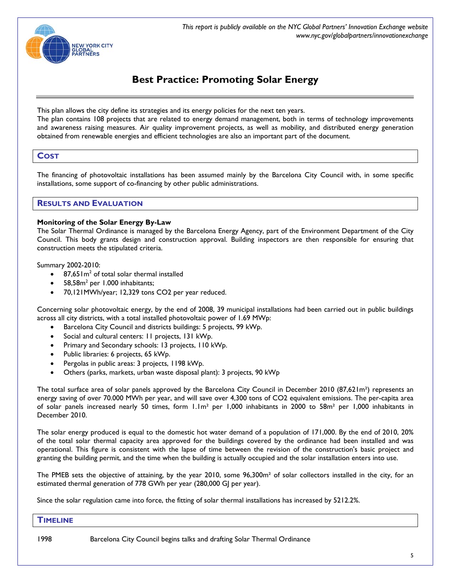

This plan allows the city define its strategies and its energy policies for the next ten years.

The plan contains 108 projects that are related to energy demand management, both in terms of technology improvements and awareness raising measures. Air quality improvement projects, as well as mobility, and distributed energy generation obtained from renewable energies and efficient technologies are also an important part of the document.

# **COST**

The financing of photovoltaic installations has been assumed mainly by the Barcelona City Council with, in some specific installations, some support of co-financing by other public administrations.

# **RESULTS AND EVALUATION**

#### **Monitoring of the Solar Energy By-Law**

The Solar Thermal Ordinance is managed by the Barcelona Energy Agency, part of the Environment Department of the City Council. This body grants design and construction approval. Building inspectors are then responsible for ensuring that construction meets the stipulated criteria.

Summary 2002-2010:

- 87,65  $Im<sup>2</sup>$  of total solar thermal installed
- $58,58m^2$  per 1.000 inhabitants;
- 70,121MWh/year; 12,329 tons CO2 per year reduced.

Concerning solar photovoltaic energy, by the end of 2008, 39 municipal installations had been carried out in public buildings across all city districts, with a total installed photovoltaic power of 1.69 MWp:

- Barcelona City Council and districts buildings: 5 projects, 99 kWp.
- Social and cultural centers: 11 projects, 131 kWp.
- Primary and Secondary schools: 13 projects, 110 kWp.
- Public libraries: 6 projects, 65 kWp.
- Pergolas in public areas: 3 projects, 1198 kWp.
- Others (parks, markets, urban waste disposal plant): 3 projects, 90 kWp

The total surface area of solar panels approved by the Barcelona City Council in December 2010 (87,621m<sup>2</sup>) represents an energy saving of over 70.000 MWh per year, and will save over 4,300 tons of CO2 equivalent emissions. The per-capita area of solar panels increased nearly 50 times, form 1.1m² per 1,000 inhabitants in 2000 to 58m² per 1,000 inhabitants in December 2010.

The solar energy produced is equal to the domestic hot water demand of a population of 171,000. By the end of 2010, 20% of the total solar thermal capacity area approved for the buildings covered by the ordinance had been installed and was operational. This figure is consistent with the lapse of time between the revision of the construction's basic project and granting the building permit, and the time when the building is actually occupied and the solar installation enters into use.

The PMEB sets the objective of attaining, by the year 2010, some 96,300m² of solar collectors installed in the city, for an estimated thermal generation of 778 GWh per year (280,000 GJ per year).

Since the solar regulation came into force, the fitting of solar thermal installations has increased by 5212.2%.

#### **TIMELINE**

1998 Barcelona City Council begins talks and drafting Solar Thermal Ordinance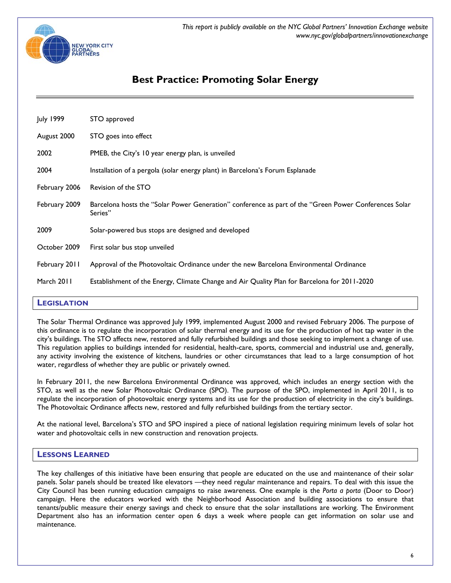

| July 1999     | STO approved                                                                                                     |
|---------------|------------------------------------------------------------------------------------------------------------------|
| August 2000   | STO goes into effect                                                                                             |
| 2002          | PMEB, the City's 10 year energy plan, is unveiled                                                                |
| 2004          | Installation of a pergola (solar energy plant) in Barcelona's Forum Esplanade                                    |
| February 2006 | Revision of the STO                                                                                              |
| February 2009 | Barcelona hosts the "Solar Power Generation" conference as part of the "Green Power Conferences Solar<br>Series" |
| 2009          | Solar-powered bus stops are designed and developed                                                               |
| October 2009  | First solar bus stop unveiled                                                                                    |
| February 2011 | Approval of the Photovoltaic Ordinance under the new Barcelona Environmental Ordinance                           |
| March 2011    | Establishment of the Energy, Climate Change and Air Quality Plan for Barcelona for 2011-2020                     |

# **LEGISLATION**

The Solar Thermal Ordinance was approved July 1999, implemented August 2000 and revised February 2006. The purpose of this ordinance is to regulate the incorporation of solar thermal energy and its use for the production of hot tap water in the city's buildings. The STO affects new, restored and fully refurbished buildings and those seeking to implement a change of use. This regulation applies to buildings intended for residential, health-care, sports, commercial and industrial use and, generally, any activity involving the existence of kitchens, laundries or other circumstances that lead to a large consumption of hot water, regardless of whether they are public or privately owned.

In February 2011, the new Barcelona Environmental Ordinance was approved, which includes an energy section with the STO, as well as the new Solar Photovoltaic Ordinance (SPO). The purpose of the SPO, implemented in April 2011, is to regulate the incorporation of photovoltaic energy systems and its use for the production of electricity in the city's buildings. The Photovoltaic Ordinance affects new, restored and fully refurbished buildings from the tertiary sector.

At the national level, Barcelona's STO and SPO inspired a piece of national legislation requiring minimum levels of solar hot water and photovoltaic cells in new construction and renovation projects.

### **LESSONS LEARNED**

The key challenges of this initiative have been ensuring that people are educated on the use and maintenance of their solar panels. Solar panels should be treated like elevators —they need regular maintenance and repairs. To deal with this issue the City Council has been running education campaigns to raise awareness. One example is the *Porta a porta* (Door to Door) campaign. Here the educators worked with the Neighborhood Association and building associations to ensure that tenants/public measure their energy savings and check to ensure that the solar installations are working. The Environment Department also has an information center open 6 days a week where people can get information on solar use and maintenance.